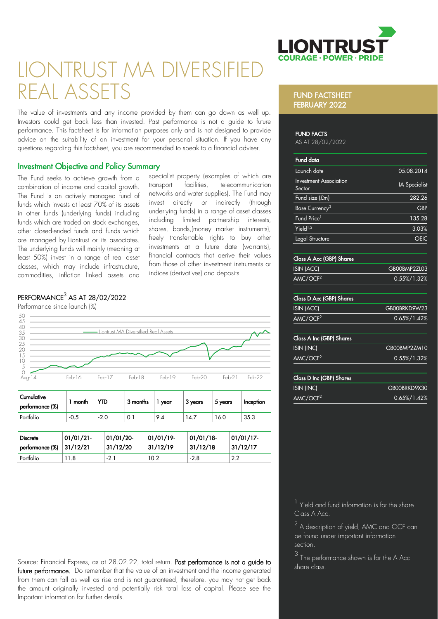

# LIONTRUST MA DIVERSIFIED REAL ASSETS

The value of investments and any income provided by them can go down as well up. Investors could get back less than invested. Past performance is not a guide to future performance. This factsheet is for information purposes only and is not designed to provide advice on the suitability of an investment for your personal situation. If you have any questions regarding this factsheet, you are recommended to speak to a financial adviser.

# Investment Objective and Policy Summary

The Fund seeks to achieve growth from a combination of income and capital growth. The Fund is an actively managed fund of funds which invests at least 70% of its assets in other funds (underlying funds) including funds which are traded on stock exchanges. other closed-ended funds and funds which are managed by Liontrust or its associates. The underlying funds will mainly (meaning at least 50%) invest in a range of real asset classes, which may include infrastructure, commodities, inflation linked assets and

specialist property (examples of which are<br>transport facilities telecommunication transport facilities, telecommunication networks and water supplies). The Fund may invest directly or indirectly (through underlying funds) in a range of asset classes including limited partnership interests, shares, bonds,(money market instruments), freely transferrable rights to buy other investments at a future date (warrants), financial contracts that derive their values from those of other investment instruments or indices (derivatives) and deposits.

# $\mathsf{PERFORMANCE}^3$  AS AT 28/02/2022



| <b>Discrete</b>          | $101/01/21$ - | 01/01/20- | $01/01/19$ - | $01/01/18$ - | $01/01/17$ - |
|--------------------------|---------------|-----------|--------------|--------------|--------------|
| performance (%) 31/12/21 |               | 31/12/20  | 31/12/19     | 31/12/18     | 31/12/17     |
| Portfolio                | 11.8          | $-2.1$    | 10.2         | $-2.8$       | 2.2          |

Source: Financial Express, as at 28.02.22, total return. Past performance is not a guide to future performance. Do remember that the value of an investment and the income generated from them can fall as well as rise and is not guaranteed, therefore, you may not get back the amount originally invested and potentially risk total loss of capital. Please see the Important information for further details.

#### FUND FACTSHEET FEBRUARY 2022

#### FUND FACTS

AS AT 28/02/2022

| <b>Fund data</b>                        |                      |
|-----------------------------------------|----------------------|
| Launch date                             | 05.08.2014           |
| <b>Investment Association</b><br>Sector | <b>IA</b> Specialist |
| Fund size (£m)                          | 282.26               |
| Base Currency <sup>3</sup>              | <b>GBP</b>           |
| Fund Price <sup>1</sup>                 | 135.28               |
| Yield $1,2$                             | 3.03%                |
| Legal Structure                         |                      |
|                                         |                      |

#### Class A Acc (GBP) Shares

| ISIN (ACC)           | GB00BMP2ZL03    |
|----------------------|-----------------|
| AMC/OCF <sup>2</sup> | $0.55\%/1.32\%$ |

#### Class D Acc (GBP) Shares

| ISIN (ACC)           | GB00BRKD9W23    |
|----------------------|-----------------|
| AMC/OCF <sup>2</sup> | $0.65\%/1.42\%$ |

#### Class A Inc (GBP) Shares

| ISIN (INC)           | GB00BMP2ZM1C    |
|----------------------|-----------------|
| AMC/OCF <sup>2</sup> | $0.55\%/1.32\%$ |

#### Class D Inc (GBP) Shares

| ISIN (INC)           | GBOOBRKD9X30    |  |
|----------------------|-----------------|--|
| AMC/OCF <sup>2</sup> | $0.65\%/1.42\%$ |  |

<sup>1</sup> Yield and fund information is for the share Class A Acc.

 $^2$  A description of yield, AMC and OCF can be found under important information section.

3 The performance shown is for the A Acc share class.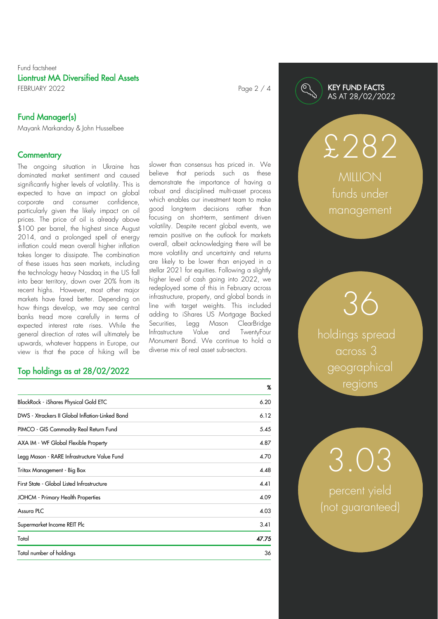### Fund factsheet Liontrust MA Diversified Real Assets FEBRUARY 2022 **Page 2 / 4**

Fund Manager(s)

Mayank Markanday & John Husselbee

#### **Commentary**

The ongoing situation in Ukraine has dominated market sentiment and caused significantly higher levels of volatility. This is expected to have an impact on global corporate and consumer confidence, particularly given the likely impact on oil prices. The price of oil is already above \$100 per barrel, the highest since August 2014, and a prolonged spell of energy inflation could mean overall higher inflation takes longer to dissipate. The combination of these issues has seen markets, including the technology heavy Nasdaq in the US fall into bear territory, down over 20% from its recent highs. However, most other major markets have fared better. Depending on how things develop, we may see central banks tread more carefully in terms of expected interest rate rises. While the general direction of rates will ultimately be upwards, whatever happens in Europe, our view is that the pace of hiking will be

# Top holdings as at 28/02/2022

|                                                 | $\chi$ |
|-------------------------------------------------|--------|
| BlackRock - iShares Physical Gold ETC           | 6.20   |
| DWS - Xtrackers II Global Inflation-Linked Bond | 6.12   |
| PIMCO - GIS Commodity Real Return Fund          | 5.45   |
| AXA IM - WF Global Flexible Property            | 4.87   |
| Legg Mason - RARE Infrastructure Value Fund     | 4.70   |
| Tritax Management - Big Box                     | 4.48   |
| First State - Global Listed Infrastructure      | 4.41   |
| JOHCM - Primary Health Properties               | 4.09   |
| Assura PLC                                      | 4.03   |
| Supermarket Income REIT Plc                     | 3.41   |
| Total                                           | 47.75  |
| Total number of holdings                        | 36     |
|                                                 |        |

slower than consensus has priced in. We believe that periods such as these demonstrate the importance of having a robust and disciplined multi-asset process which enables our investment team to make good long-term decisions rather than focusing on short-term, sentiment driven volatility. Despite recent global events, we remain positive on the outlook for markets overall, albeit acknowledging there will be more volatility and uncertainty and returns are likely to be lower than enjoyed in a stellar 2021 for equities. Following a slightly higher level of cash going into 2022, we redeployed some of this in February across infrastructure, property, and global bonds in line with target weights. This included adding to iShares US Mortgage Backed Securities, Legg Mason ClearBridge Infrastructure Value and TwentyFour Monument Bond. We continue to hold a diverse mix of real asset sub-sectors.

# KEY FUND FACTS AS AT 28/02/2022

**MILLION** funds under management

£282

holdings spread across 3 geographical regions

36

percent yield (not guaranteed)

3.03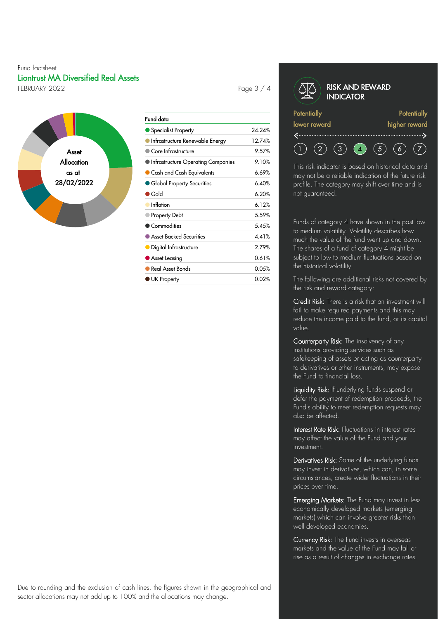### Fund factsheet Liontrust MA Diversified Real Assets FEBRUARY 2022 **Page 3** / 4



| Fund data                           |        |
|-------------------------------------|--------|
| Specialist Property                 | 24.24% |
| Infrastructure Renewable Energy     | 12.74% |
| Core Infrastructure                 | 9.57%  |
| Infrastructure Operating Companies  | 9.10%  |
| $\bullet$ Cash and Cash Equivalents | 6.69%  |
| • Global Property Securities        | 6.40%  |
| $\bullet$ Gold                      | 6.20%  |
| Inflation                           | 6.12%  |
| Property Debt                       | 5.59%  |
| Commodities                         | 5.45%  |
| Asset Backed Securities             | 4.41%  |
| · Digital Infrastructure            | 2.79%  |
| Asset Leasing                       | 0.61%  |
| <b>Real Asset Bonds</b>             | 0.05%  |
| <b>UK Property</b>                  | 0.02%  |
|                                     |        |

#### RISK AND REWARD **INDICATOR Potentially Potentially** lower reward higher reward

 $\begin{array}{ccc} \text{(3)} & \text{(4)} & \text{(5)} \end{array}$  $(2)$  $(6)$  $(7)$ 

This risk indicator is based on historical data and may not be a reliable indication of the future risk profile. The category may shift over time and is not guaranteed.

Funds of category 4 have shown in the past low to medium volatility. Volatility describes how much the value of the fund went up and down. The shares of a fund of category 4 might be subject to low to medium fluctuations based on the historical volatility.

The following are additional risks not covered by the risk and reward category:

Credit Risk: There is a risk that an investment will fail to make required payments and this may reduce the income paid to the fund, or its capital value.

Counterparty Risk: The insolvency of any institutions providing services such as safekeeping of assets or acting as counterparty to derivatives or other instruments, may expose the Fund to financial loss.

Liquidity Risk: If underlying funds suspend or defer the payment of redemption proceeds, the Fund's ability to meet redemption requests may also be affected.

Interest Rate Risk: Fluctuations in interest rates may affect the value of the Fund and your investment.

Derivatives Risk: Some of the underlying funds may invest in derivatives, which can, in some circumstances, create wider fluctuations in their prices over time.

Emerging Markets: The Fund may invest in less economically developed markets (emerging markets) which can involve greater risks than well developed economies.

Currency Risk: The Fund invests in overseas markets and the value of the Fund may fall or rise as a result of changes in exchange rates.

Due to rounding and the exclusion of cash lines, the figures shown in the geographical and sector allocations may not add up to 100% and the allocations may change.